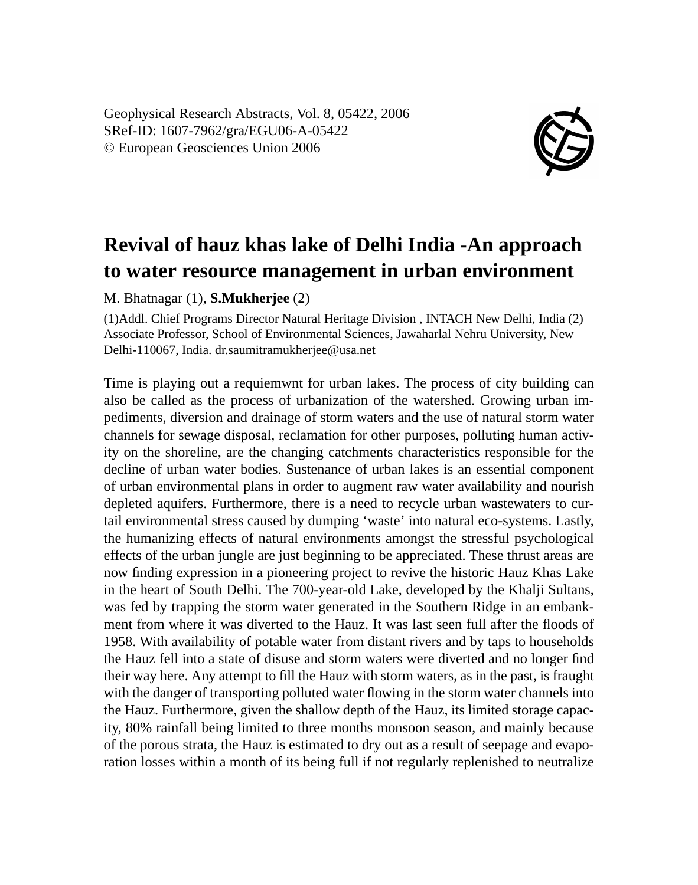Geophysical Research Abstracts, Vol. 8, 05422, 2006 SRef-ID: 1607-7962/gra/EGU06-A-05422 © European Geosciences Union 2006



## **Revival of hauz khas lake of Delhi India -An approach to water resource management in urban environment**

M. Bhatnagar (1), **S.Mukherjee** (2)

(1)Addl. Chief Programs Director Natural Heritage Division , INTACH New Delhi, India (2) Associate Professor, School of Environmental Sciences, Jawaharlal Nehru University, New Delhi-110067, India. dr.saumitramukherjee@usa.net

Time is playing out a requiemwnt for urban lakes. The process of city building can also be called as the process of urbanization of the watershed. Growing urban impediments, diversion and drainage of storm waters and the use of natural storm water channels for sewage disposal, reclamation for other purposes, polluting human activity on the shoreline, are the changing catchments characteristics responsible for the decline of urban water bodies. Sustenance of urban lakes is an essential component of urban environmental plans in order to augment raw water availability and nourish depleted aquifers. Furthermore, there is a need to recycle urban wastewaters to curtail environmental stress caused by dumping 'waste' into natural eco-systems. Lastly, the humanizing effects of natural environments amongst the stressful psychological effects of the urban jungle are just beginning to be appreciated. These thrust areas are now finding expression in a pioneering project to revive the historic Hauz Khas Lake in the heart of South Delhi. The 700-year-old Lake, developed by the Khalji Sultans, was fed by trapping the storm water generated in the Southern Ridge in an embankment from where it was diverted to the Hauz. It was last seen full after the floods of 1958. With availability of potable water from distant rivers and by taps to households the Hauz fell into a state of disuse and storm waters were diverted and no longer find their way here. Any attempt to fill the Hauz with storm waters, as in the past, is fraught with the danger of transporting polluted water flowing in the storm water channels into the Hauz. Furthermore, given the shallow depth of the Hauz, its limited storage capacity, 80% rainfall being limited to three months monsoon season, and mainly because of the porous strata, the Hauz is estimated to dry out as a result of seepage and evaporation losses within a month of its being full if not regularly replenished to neutralize